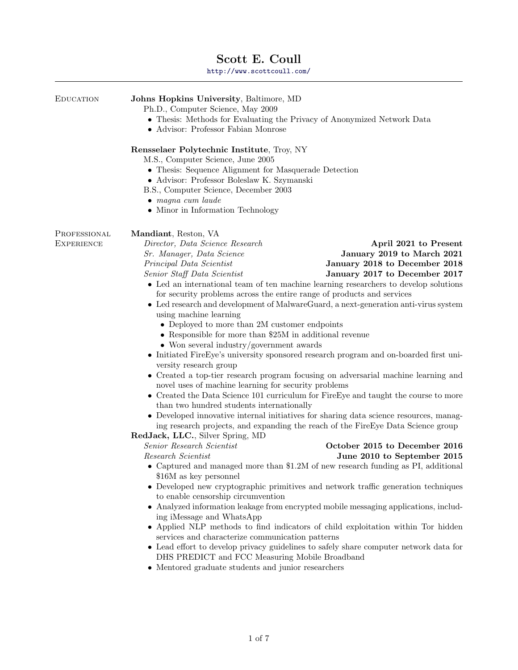# Scott E. Coull

<http://www.scottcoull.com/>

| EDUCATION                         | Johns Hopkins University, Baltimore, MD<br>Ph.D., Computer Science, May 2009<br>• Thesis: Methods for Evaluating the Privacy of Anonymized Network Data<br>• Advisor: Professor Fabian Monrose                                                                                                                                                                                                                                                                                                                                                                                                                                                                                                                                                                                                                                                                                                                                                                                                                                                                                                                                                                                                                                                                                                                                                                                                                                                                                                                                                                                                                                                                                                                                                                                                                                                                                                                                                                                      |                                                                                                                                                                                       |
|-----------------------------------|-------------------------------------------------------------------------------------------------------------------------------------------------------------------------------------------------------------------------------------------------------------------------------------------------------------------------------------------------------------------------------------------------------------------------------------------------------------------------------------------------------------------------------------------------------------------------------------------------------------------------------------------------------------------------------------------------------------------------------------------------------------------------------------------------------------------------------------------------------------------------------------------------------------------------------------------------------------------------------------------------------------------------------------------------------------------------------------------------------------------------------------------------------------------------------------------------------------------------------------------------------------------------------------------------------------------------------------------------------------------------------------------------------------------------------------------------------------------------------------------------------------------------------------------------------------------------------------------------------------------------------------------------------------------------------------------------------------------------------------------------------------------------------------------------------------------------------------------------------------------------------------------------------------------------------------------------------------------------------------|---------------------------------------------------------------------------------------------------------------------------------------------------------------------------------------|
|                                   | Rensselaer Polytechnic Institute, Troy, NY<br>M.S., Computer Science, June 2005<br>• Thesis: Sequence Alignment for Masquerade Detection<br>• Advisor: Professor Boleslaw K. Szymanski<br>B.S., Computer Science, December 2003<br>$\bullet$ magna cum laude<br>• Minor in Information Technology                                                                                                                                                                                                                                                                                                                                                                                                                                                                                                                                                                                                                                                                                                                                                                                                                                                                                                                                                                                                                                                                                                                                                                                                                                                                                                                                                                                                                                                                                                                                                                                                                                                                                   |                                                                                                                                                                                       |
| PROFESSIONAL<br><b>EXPERIENCE</b> | Mandiant, Reston, VA<br>Director, Data Science Research<br>Sr. Manager, Data Science<br>Principal Data Scientist<br>Senior Staff Data Scientist<br>• Led an international team of ten machine learning researchers to develop solutions<br>for security problems across the entire range of products and services<br>• Led research and development of MalwareGuard, a next-generation anti-virus system<br>using machine learning<br>• Deployed to more than 2M customer endpoints<br>• Responsible for more than \$25M in additional revenue<br>$\bullet$ Won several industry/government awards<br>• Initiated FireEye's university sponsored research program and on-boarded first uni-<br>versity research group<br>• Created a top-tier research program focusing on adversarial machine learning and<br>novel uses of machine learning for security problems<br>• Created the Data Science 101 curriculum for FireEye and taught the course to more<br>than two hundred students internationally<br>• Developed innovative internal initiatives for sharing data science resources, manag-<br>ing research projects, and expanding the reach of the FireEye Data Science group<br>RedJack, LLC., Silver Spring, MD<br>Senior Research Scientist<br>Research Scientist<br>• Captured and managed more than $$1.2M$ of new research funding as PI, additional<br>\$16M as key personnel<br>Developed new cryptographic primitives and network traffic generation techniques<br>to enable censorship circumvention<br>Analyzed information leakage from encrypted mobile messaging applications, includ-<br>ing iMessage and WhatsApp<br>• Applied NLP methods to find indicators of child exploitation within Tor hidden<br>services and characterize communication patterns<br>• Lead effort to develop privacy guidelines to safely share computer network data for<br>DHS PREDICT and FCC Measuring Mobile Broadband<br>• Mentored graduate students and junior researchers | April 2021 to Present<br>January 2019 to March 2021<br>January 2018 to December 2018<br>January 2017 to December 2017<br>October 2015 to December 2016<br>June 2010 to September 2015 |
|                                   |                                                                                                                                                                                                                                                                                                                                                                                                                                                                                                                                                                                                                                                                                                                                                                                                                                                                                                                                                                                                                                                                                                                                                                                                                                                                                                                                                                                                                                                                                                                                                                                                                                                                                                                                                                                                                                                                                                                                                                                     |                                                                                                                                                                                       |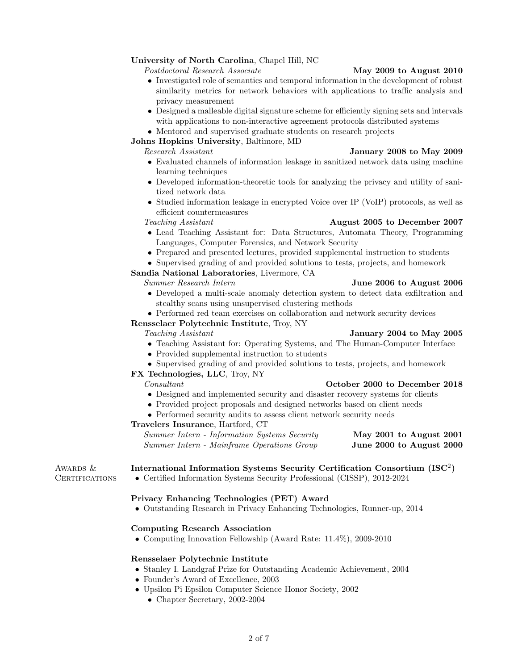# University of North Carolina, Chapel Hill, NC

Postdoctoral Research Associate May 2009 to August 2010

- Investigated role of semantics and temporal information in the development of robust similarity metrics for network behaviors with applications to traffic analysis and privacy measurement
- Designed a malleable digital signature scheme for efficiently signing sets and intervals with applications to non-interactive agreement protocols distributed systems
- Mentored and supervised graduate students on research projects

# Johns Hopkins University, Baltimore, MD

Research Assistant January 2008 to May 2009

- Evaluated channels of information leakage in sanitized network data using machine learning techniques
- Developed information-theoretic tools for analyzing the privacy and utility of sanitized network data
- Studied information leakage in encrypted Voice over IP (VoIP) protocols, as well as efficient countermeasures

# Teaching Assistant **August 2005 to December 2007**

- Lead Teaching Assistant for: Data Structures, Automata Theory, Programming Languages, Computer Forensics, and Network Security
- Prepared and presented lectures, provided supplemental instruction to students
- Supervised grading of and provided solutions to tests, projects, and homework

### Sandia National Laboratories, Livermore, CA

Summer Research Intern June 2006 to August 2006

- Developed a multi-scale anomaly detection system to detect data exfiltration and stealthy scans using unsupervised clustering methods
- Performed red team exercises on collaboration and network security devices

### Rensselaer Polytechnic Institute, Troy, NY

### Teaching Assistant **January 2004 to May 2005**

- Teaching Assistant for: Operating Systems, and The Human-Computer Interface
- Provided supplemental instruction to students
- Supervised grading of and provided solutions to tests, projects, and homework

### FX Technologies, LLC, Troy, NY

- Consultant October 2000 to December 2018 • Designed and implemented security and disaster recovery systems for clients
- Provided project proposals and designed networks based on client needs
- Performed security audits to assess client network security needs

### Travelers Insurance, Hartford, CT

Summer Intern - Information Systems Security May 2001 to August 2001 Summer Intern - Mainframe Operations Group June 2000 to August 2000

# AWARDS  $\&$  International Information Systems Security Certification Consortium (ISC<sup>2</sup>)

Certifications • Certified Information Systems Security Professional (CISSP), 2012-2024

### Privacy Enhancing Technologies (PET) Award

• Outstanding Research in Privacy Enhancing Technologies, Runner-up, 2014

### Computing Research Association

• Computing Innovation Fellowship (Award Rate: 11.4%), 2009-2010

### Rensselaer Polytechnic Institute

- Stanley I. Landgraf Prize for Outstanding Academic Achievement, 2004
- Founder's Award of Excellence, 2003
- Upsilon Pi Epsilon Computer Science Honor Society, 2002
	- Chapter Secretary, 2002-2004

### 2 of 7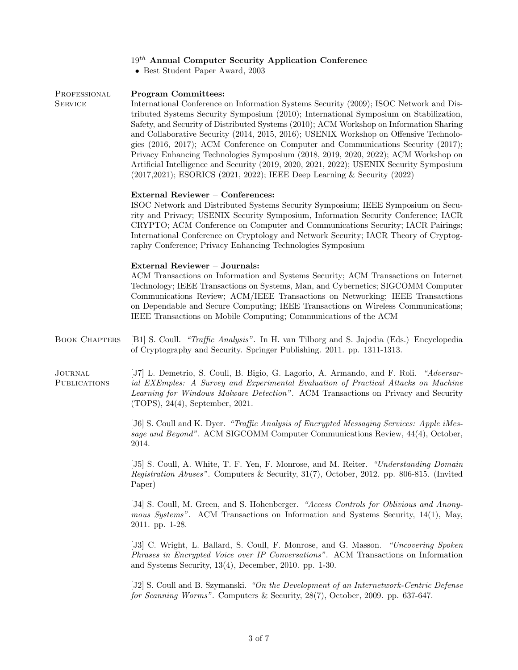# $19<sup>th</sup>$  Annual Computer Security Application Conference

• Best Student Paper Award, 2003

PROFESSIONAL Program Committees: SERVICE International Conference on Information Systems Security (2009); ISOC Network and Distributed Systems Security Symposium (2010); International Symposium on Stabilization, Safety, and Security of Distributed Systems (2010); ACM Workshop on Information Sharing and Collaborative Security (2014, 2015, 2016); USENIX Workshop on Offensive Technologies (2016, 2017); ACM Conference on Computer and Communications Security (2017); Privacy Enhancing Technologies Symposium (2018, 2019, 2020, 2022); ACM Workshop on Artificial Intelligence and Security (2019, 2020, 2021, 2022); USENIX Security Symposium (2017,2021); ESORICS (2021, 2022); IEEE Deep Learning & Security (2022) External Reviewer – Conferences: ISOC Network and Distributed Systems Security Symposium; IEEE Symposium on Security and Privacy; USENIX Security Symposium, Information Security Conference; IACR CRYPTO; ACM Conference on Computer and Communications Security; IACR Pairings; International Conference on Cryptology and Network Security; IACR Theory of Cryptography Conference; Privacy Enhancing Technologies Symposium External Reviewer – Journals: ACM Transactions on Information and Systems Security; ACM Transactions on Internet Technology; IEEE Transactions on Systems, Man, and Cybernetics; SIGCOMM Computer Communications Review; ACM/IEEE Transactions on Networking; IEEE Transactions on Dependable and Secure Computing; IEEE Transactions on Wireless Communications; IEEE Transactions on Mobile Computing; Communications of the ACM BOOK CHAPTERS [B1] S. Coull. "Traffic Analysis". In H. van Tilborg and S. Jajodia (Eds.) Encyclopedia of Cryptography and Security. Springer Publishing. 2011. pp. 1311-1313. JOURNAL [J7] L. Demetrio, S. Coull, B. Bigio, G. Lagorio, A. Armando, and F. Roli. "Adversar-Publications ial EXEmples: A Survey and Experimental Evaluation of Practical Attacks on Machine Learning for Windows Malware Detection". ACM Transactions on Privacy and Security (TOPS), 24(4), September, 2021. [J6] S. Coull and K. Dyer. "Traffic Analysis of Encrypted Messaging Services: Apple iMessage and Beyond". ACM SIGCOMM Computer Communications Review, 44(4), October, 2014. [J5] S. Coull, A. White, T. F. Yen, F. Monrose, and M. Reiter. "Understanding Domain Registration Abuses". Computers & Security, 31(7), October, 2012. pp. 806-815. (Invited Paper) [J4] S. Coull, M. Green, and S. Hohenberger. "Access Controls for Oblivious and Anonymous Systems". ACM Transactions on Information and Systems Security, 14(1), May, 2011. pp. 1-28. [J3] C. Wright, L. Ballard, S. Coull, F. Monrose, and G. Masson. "Uncovering Spoken Phrases in Encrypted Voice over IP Conversations". ACM Transactions on Information and Systems Security, 13(4), December, 2010. pp. 1-30. [J2] S. Coull and B. Szymanski. "On the Development of an Internetwork-Centric Defense for Scanning Worms". Computers & Security, 28(7), October, 2009. pp. 637-647.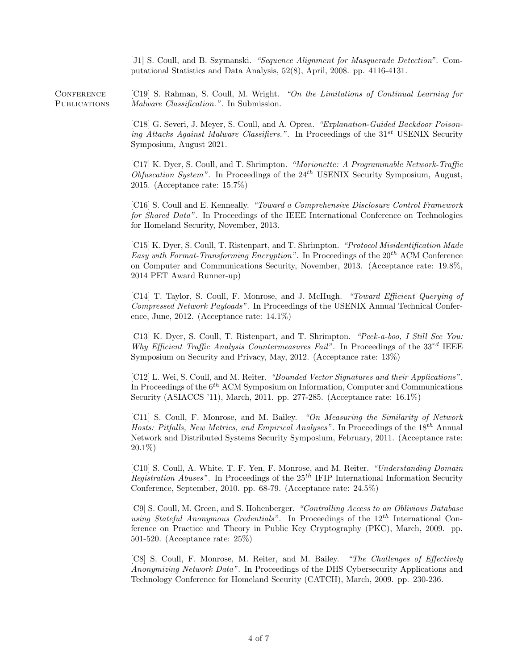[J1] S. Coull, and B. Szymanski. "Sequence Alignment for Masquerade Detection". Computational Statistics and Data Analysis, 52(8), April, 2008. pp. 4116-4131.

CONFERENCE [C19] S. Rahman, S. Coull, M. Wright. "On the Limitations of Continual Learning for PUBLICATIONS Malware Classification.". In Submission.

> [C18] G. Severi, J. Meyer, S. Coull, and A. Oprea. "Explanation-Guided Backdoor Poisoning Attacks Against Malware Classifiers.". In Proceedings of the  $31^{st}$  USENIX Security Symposium, August 2021.

> [C17] K. Dyer, S. Coull, and T. Shrimpton. "Marionette: A Programmable Network-Traffic Obfuscation System". In Proceedings of the  $24<sup>th</sup>$  USENIX Security Symposium, August, 2015. (Acceptance rate: 15.7%)

> [C16] S. Coull and E. Kenneally. "Toward a Comprehensive Disclosure Control Framework for Shared Data". In Proceedings of the IEEE International Conference on Technologies for Homeland Security, November, 2013.

> [C15] K. Dyer, S. Coull, T. Ristenpart, and T. Shrimpton. "Protocol Misidentification Made Easy with Format-Transforming Encryption". In Proceedings of the  $20^{th}$  ACM Conference on Computer and Communications Security, November, 2013. (Acceptance rate: 19.8%, 2014 PET Award Runner-up)

> [C14] T. Taylor, S. Coull, F. Monrose, and J. McHugh. "Toward Efficient Querying of Compressed Network Payloads". In Proceedings of the USENIX Annual Technical Conference, June, 2012. (Acceptance rate: 14.1%)

> [C13] K. Dyer, S. Coull, T. Ristenpart, and T. Shrimpton. "Peek-a-boo, I Still See You: Why Efficient Traffic Analysis Countermeasures Fail". In Proceedings of the  $33^{rd}$  IEEE Symposium on Security and Privacy, May, 2012. (Acceptance rate: 13%)

> [C12] L. Wei, S. Coull, and M. Reiter. "Bounded Vector Signatures and their Applications". In Proceedings of the  $6^{th}$  ACM Symposium on Information, Computer and Communications Security (ASIACCS '11), March, 2011. pp. 277-285. (Acceptance rate: 16.1%)

> [C11] S. Coull, F. Monrose, and M. Bailey. "On Measuring the Similarity of Network Hosts: Pitfalls, New Metrics, and Empirical Analyses". In Proceedings of the 18<sup>th</sup> Annual Network and Distributed Systems Security Symposium, February, 2011. (Acceptance rate: 20.1%)

> [C10] S. Coull, A. White, T. F. Yen, F. Monrose, and M. Reiter. "Understanding Domain Registration Abuses". In Proceedings of the  $25<sup>th</sup>$  IFIP International Information Security Conference, September, 2010. pp. 68-79. (Acceptance rate: 24.5%)

> [C9] S. Coull, M. Green, and S. Hohenberger. "Controlling Access to an Oblivious Database using Stateful Anonymous Credentials". In Proceedings of the  $12^{th}$  International Conference on Practice and Theory in Public Key Cryptography (PKC), March, 2009. pp. 501-520. (Acceptance rate: 25%)

> [C8] S. Coull, F. Monrose, M. Reiter, and M. Bailey. "The Challenges of Effectively Anonymizing Network Data". In Proceedings of the DHS Cybersecurity Applications and Technology Conference for Homeland Security (CATCH), March, 2009. pp. 230-236.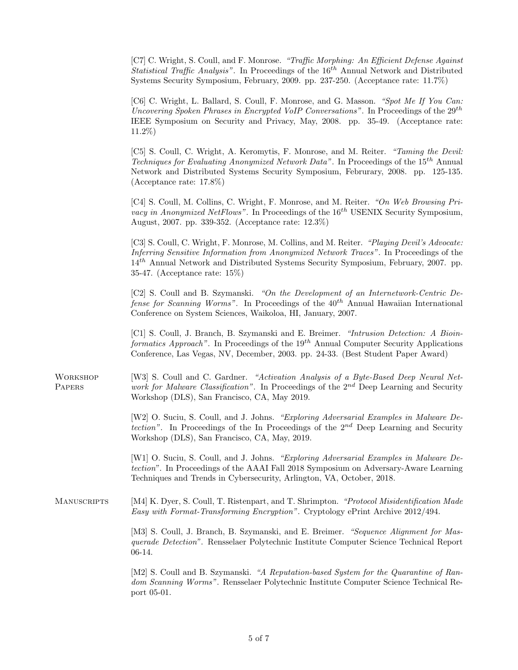[C7] C. Wright, S. Coull, and F. Monrose. "Traffic Morphing: An Efficient Defense Against *Statistical Traffic Analysis*". In Proceedings of the  $16<sup>th</sup>$  Annual Network and Distributed Systems Security Symposium, February, 2009. pp. 237-250. (Acceptance rate: 11.7%)

[C6] C. Wright, L. Ballard, S. Coull, F. Monrose, and G. Masson. "Spot Me If You Can: Uncovering Spoken Phrases in Encrypted VoIP Conversations". In Proceedings of the  $29^{th}$ IEEE Symposium on Security and Privacy, May, 2008. pp. 35-49. (Acceptance rate: 11.2%)

[C5] S. Coull, C. Wright, A. Keromytis, F. Monrose, and M. Reiter. "Taming the Devil: *Techniques for Evaluating Anonymized Network Data".* In Proceedings of the  $15^{th}$  Annual Network and Distributed Systems Security Symposium, Februrary, 2008. pp. 125-135. (Acceptance rate: 17.8%)

[C4] S. Coull, M. Collins, C. Wright, F. Monrose, and M. Reiter. "On Web Browsing Pri*vacy in Anonymized NetFlows"*. In Proceedings of the  $16<sup>th</sup>$  USENIX Security Symposium, August, 2007. pp. 339-352. (Acceptance rate: 12.3%)

[C3] S. Coull, C. Wright, F. Monrose, M. Collins, and M. Reiter. "Playing Devil's Advocate: Inferring Sensitive Information from Anonymized Network Traces". In Proceedings of the  $14<sup>th</sup>$  Annual Network and Distributed Systems Security Symposium, February, 2007. pp. 35-47. (Acceptance rate: 15%)

[C2] S. Coull and B. Szymanski. "On the Development of an Internetwork-Centric Defense for Scanning Worms". In Proceedings of the  $40^{th}$  Annual Hawaiian International Conference on System Sciences, Waikoloa, HI, January, 2007.

[C1] S. Coull, J. Branch, B. Szymanski and E. Breimer. "Intrusion Detection: A Bioinformatics Approach". In Proceedings of the  $19^{th}$  Annual Computer Security Applications Conference, Las Vegas, NV, December, 2003. pp. 24-33. (Best Student Paper Award)

WORKSHOP [W3] S. Coull and C. Gardner. "Activation Analysis of a Byte-Based Deep Neural Net-PAPERS work for Malware Classification". In Proceedings of the  $2^{nd}$  Deep Learning and Security Workshop (DLS), San Francisco, CA, May 2019.

> [W2] O. Suciu, S. Coull, and J. Johns. "Exploring Adversarial Examples in Malware Detection". In Proceedings of the In Proceedings of the  $2^{nd}$  Deep Learning and Security Workshop (DLS), San Francisco, CA, May, 2019.

> [W1] O. Suciu, S. Coull, and J. Johns. "Exploring Adversarial Examples in Malware Detection". In Proceedings of the AAAI Fall 2018 Symposium on Adversary-Aware Learning Techniques and Trends in Cybersecurity, Arlington, VA, October, 2018.

MANUSCRIPTS [M4] K. Dyer, S. Coull, T. Ristenpart, and T. Shrimpton. "Protocol Misidentification Made Easy with Format-Transforming Encryption". Cryptology ePrint Archive 2012/494.

> [M3] S. Coull, J. Branch, B. Szymanski, and E. Breimer. "Sequence Alignment for Masquerade Detection". Rensselaer Polytechnic Institute Computer Science Technical Report 06-14.

> [M2] S. Coull and B. Szymanski. "A Reputation-based System for the Quarantine of Random Scanning Worms". Rensselaer Polytechnic Institute Computer Science Technical Report 05-01.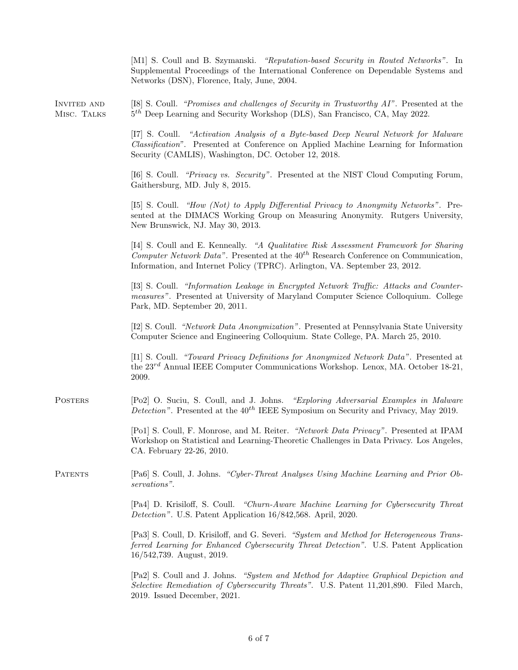|                                   | [M1] S. Coull and B. Szymanski. "Reputation-based Security in Routed Networks". In<br>Supplemental Proceedings of the International Conference on Dependable Systems and<br>Networks (DSN), Florence, Italy, June, 2004.                                        |  |
|-----------------------------------|-----------------------------------------------------------------------------------------------------------------------------------------------------------------------------------------------------------------------------------------------------------------|--|
| <b>INVITED AND</b><br>MISC. TALKS | [I8] S. Coull. "Promises and challenges of Security in Trustworthy AI". Presented at the<br>$5th$ Deep Learning and Security Workshop (DLS), San Francisco, CA, May 2022.                                                                                       |  |
|                                   | "Activation Analysis of a Byte-based Deep Neural Network for Malware<br>$ I7 $ S. Coull.<br><i>Classification</i> ". Presented at Conference on Applied Machine Learning for Information<br>Security (CAMLIS), Washington, DC. October 12, 2018.                |  |
|                                   | [I6] S. Coull. "Privacy vs. Security". Presented at the NIST Cloud Computing Forum,<br>Gaithersburg, MD. July 8, 2015.                                                                                                                                          |  |
|                                   | [15] S. Coull. "How (Not) to Apply Differential Privacy to Anonymity Networks". Pre-<br>sented at the DIMACS Working Group on Measuring Anonymity. Rutgers University,<br>New Brunswick, NJ. May 30, 2013.                                                      |  |
|                                   | [I4] S. Coull and E. Kenneally. "A Qualitative Risk Assessment Framework for Sharing<br>Computer Network Data". Presented at the $40^{th}$ Research Conference on Communication,<br>Information, and Internet Policy (TPRC). Arlington, VA. September 23, 2012. |  |
|                                   | [I3] S. Coull. "Information Leakage in Encrypted Network Traffic: Attacks and Counter-<br><i>measures</i> ". Presented at University of Maryland Computer Science Colloquium. College<br>Park, MD. September 20, 2011.                                          |  |
|                                   | [I2] S. Coull. "Network Data Anonymization". Presented at Pennsylvania State University<br>Computer Science and Engineering Colloquium. State College, PA. March 25, 2010.                                                                                      |  |
|                                   | [I1] S. Coull. "Toward Privacy Definitions for Anonymized Network Data". Presented at<br>the 23rd Annual IEEE Computer Communications Workshop. Lenox, MA. October 18-21,<br>2009.                                                                              |  |
| <b>POSTERS</b>                    | [Po2] O. Suciu, S. Coull, and J. Johns. "Exploring Adversarial Examples in Malware<br><i>Detection</i> ". Presented at the $40^{th}$ IEEE Symposium on Security and Privacy, May 2019.                                                                          |  |
|                                   | [Po1] S. Coull, F. Monrose, and M. Reiter. "Network Data Privacy". Presented at IPAM<br>Workshop on Statistical and Learning-Theoretic Challenges in Data Privacy. Los Angeles,<br>CA. February 22-26, 2010.                                                    |  |
| <b>PATENTS</b>                    | [Pa6] S. Coull, J. Johns. "Cyber-Threat Analyses Using Machine Learning and Prior Ob-<br>servations".                                                                                                                                                           |  |
|                                   | [Pa4] D. Krisiloff, S. Coull. "Churn-Aware Machine Learning for Cybersecurity Threat<br><i>Detection"</i> . U.S. Patent Application 16/842,568. April, 2020.                                                                                                    |  |
|                                   | [Pa3] S. Coull, D. Krisiloff, and G. Severi. "System and Method for Heterogeneous Trans-<br>ferred Learning for Enhanced Cybersecurity Threat Detection". U.S. Patent Application<br>$16/542,739.$ August, 2019.                                                |  |
|                                   | [Pa2] S. Coull and J. Johns. "System and Method for Adaptive Graphical Depiction and<br>Selective Remediation of Cybersecurity Threats". U.S. Patent 11,201,890. Filed March,<br>2019. Issued December, 2021.                                                   |  |